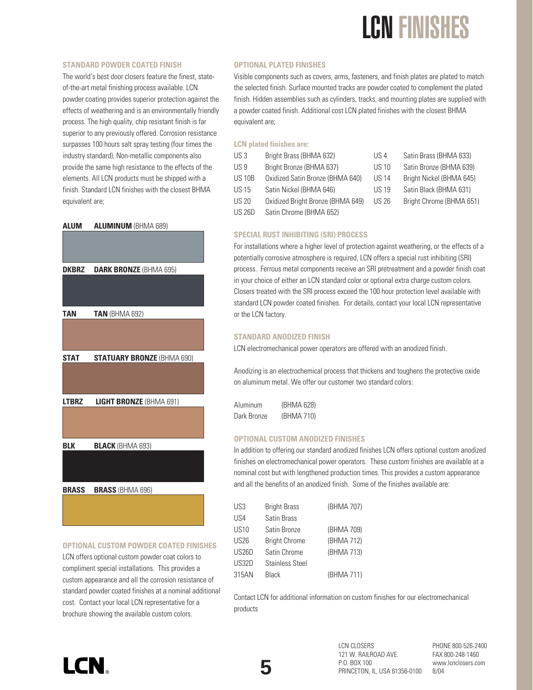### LCN FINISHES

#### **STANDARD POWDER COATED FINISH**

The world's best door closers feature the finest, stateof-the-art metal finishing process available. LCN powder coating provides superior protection against the effects of weathering and is an environmentally friendly process. The high quality, chip resistant finish is far superior to any previously offered. Corrosion resistance surpasses 100 hours salt spray testing (four times the industry standard). Non-metallic components also provide the same high resistance to the effects of the elements. All LCN products must be shipped with a finish. Standard LCN finishes with the closest BHMA equivalent are;

#### **ALUM ALUMINUM** (BHMA 689)



#### **OPTIONAL CUSTOM POWDER COATED FINISHES**

LCN offers optional custom powder coat colors to compliment special installations. This provides a custom appearance and all the corrosion resistance of standard powder coated finishes at a nominal additional cost. Contact your local LCN representative for a brochure showing the available custom colors.

#### **OPTIONAL PLATED FINISHES**

Visible components such as covers, arms, fasteners, and finish plates are plated to match the selected finish. Surface mounted tracks are powder coated to complement the plated finish. Hidden assemblies such as cylinders, tracks, and mounting plates are supplied with a powder coated finish. Additional cost LCN plated finishes with the closest BHMA equivalent are;

#### **LCN plated finishes are:**

| US <sub>3</sub> | Bright Brass (BHMA 632)           | US 4         | Satin Brass (BHMA 633)   |
|-----------------|-----------------------------------|--------------|--------------------------|
| US <sub>9</sub> | Bright Bronze (BHMA 637)          | <b>US 10</b> | Satin Bronze (BHMA 639)  |
| <b>US 10B</b>   | Oxidized Satin Bronze (BHMA 640)  | <b>US 14</b> | Bright Nickel (BHMA 645) |
| <b>US15</b>     | Satin Nickel (BHMA 646)           | <b>US 19</b> | Satin Black (BHMA 631)   |
| <b>US 20</b>    | Oxidized Bright Bronze (BHMA 649) | US 26        | Bright Chrome (BHMA 651) |
| <b>US 26D</b>   | Satin Chrome (BHMA 652)           |              |                          |
|                 |                                   |              |                          |

#### **SPECIAL RUST INHIBITING (SRI) PROCESS**

For installations where a higher level of protection against weathering, or the effects of a potentially corrosive atmosphere is required, LCN offers a special rust inhibiting (SRI) process. Ferrous metal components receive an SRI pretreatment and a powder finish coat in your choice of either an LCN standard color or optional extra charge custom colors. Closers treated with the SRI process exceed the 100 hour protection level available with standard LCN powder coated finishes. For details, contact your local LCN representative or the LCN factory.

#### **STANDARD ANODIZED FINISH**

LCN electromechanical power operators are offered with an anodized finish.

Anodizing is an electrochemical process that thickens and toughens the protective oxide on aluminum metal. We offer our customer two standard colors:

Aluminum (BHMA 628) Dark Bronze (BHMA 710)

#### **OPTIONAL CUSTOM ANODIZED FINISHES**

In addition to offering our standard anodized finishes LCN offers optional custom anodized finishes on electromechanical power operators. These custom finishes are available at a nominal cost but with lengthened production times. This provides a custom appearance and all the benefits of an anodized finish. Some of the finishes available are:

| US3              | <b>Bright Brass</b>  | (BHMA 707) |
|------------------|----------------------|------------|
| US4              | Satin Brass          |            |
| US <sub>10</sub> | Satin Bronze         | (BHMA 709) |
| US <sub>26</sub> | <b>Bright Chrome</b> | (BHMA 712) |
| US26D            | Satin Chrome         | (BHMA 713) |
| US32D            | Stainless Steel      |            |
| 315AN            | <b>Black</b>         | (BHMA 711) |

Contact LCN for additional information on custom finishes for our electromechanical products